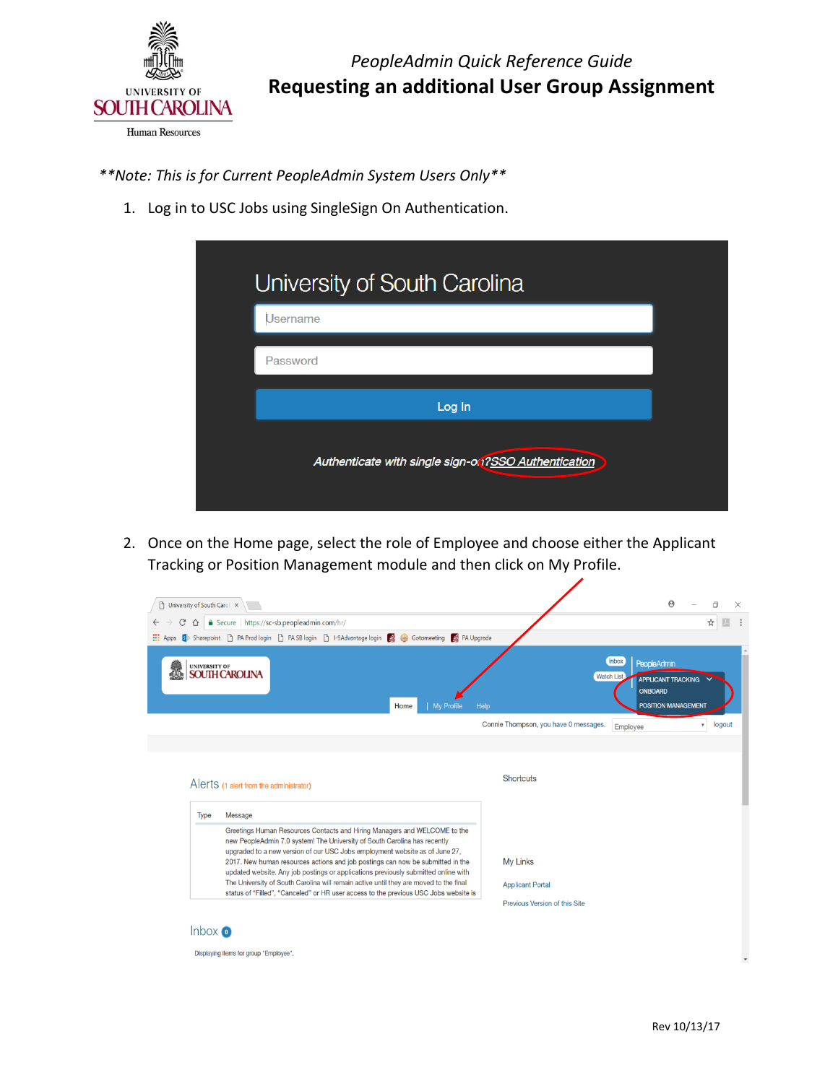

*\*\*Note: This is for Current PeopleAdmin System Users Only\*\** 

1. Log in to USC Jobs using SingleSign On Authentication.

| University of South Carolina                         |  |  |  |  |
|------------------------------------------------------|--|--|--|--|
| Username                                             |  |  |  |  |
| Password                                             |  |  |  |  |
| Log In                                               |  |  |  |  |
| Authenticate with single sign-on ?SSO Authentication |  |  |  |  |

 2. Once on the Home page, select the role of Employee and choose either the Applicant Tracking or Position Management module and then click on My Profile.

| ⇧    | □ University of South Carol ×<br>△ Secure   https://sc-sb.peopleadmin.com/hr/                                                                                                                                                                                                                                                                                                                                            | $\boldsymbol{\Theta}$<br>门<br>$\times$<br>☆                                                                                           |
|------|--------------------------------------------------------------------------------------------------------------------------------------------------------------------------------------------------------------------------------------------------------------------------------------------------------------------------------------------------------------------------------------------------------------------------|---------------------------------------------------------------------------------------------------------------------------------------|
|      | Apps Sharepoint   PA Prod login   PA SB login   P-9Advantage login   S (8) Gotomeeting   PA Upgrade                                                                                                                                                                                                                                                                                                                      |                                                                                                                                       |
|      | UNIVERSITY OF<br><b>SOUTH CAROLINA</b><br>Home<br><b>My Profile</b>                                                                                                                                                                                                                                                                                                                                                      | Inbox<br><b>PeopleAdmin</b><br><b>Watch List</b><br><b>APPLICANT TRACKING</b><br><b>ONBOARD</b><br><b>POSITION MANAGEMENT</b><br>Help |
|      |                                                                                                                                                                                                                                                                                                                                                                                                                          | Connie Thompson, you have 0 messages.<br>logout<br>$\overline{\mathbf{v}}$<br>Employee                                                |
|      |                                                                                                                                                                                                                                                                                                                                                                                                                          |                                                                                                                                       |
|      | Alerts (1 alert from the administrator)                                                                                                                                                                                                                                                                                                                                                                                  | Shortcuts                                                                                                                             |
| Type | Message<br>Greetings Human Resources Contacts and Hiring Managers and WELCOME to the<br>new PeopleAdmin 7.0 system! The University of South Carolina has recently<br>upgraded to a new version of our USC Jobs employment website as of June 27,<br>2017. New human resources actions and job postings can now be submitted in the<br>updated website. Any job postings or applications previously submitted online with | My Links                                                                                                                              |
|      | The University of South Carolina will remain active until they are moved to the final<br>status of "Filled", "Canceled" or HR user access to the previous USC Jobs website is                                                                                                                                                                                                                                            | <b>Applicant Portal</b><br>Previous Version of this Site                                                                              |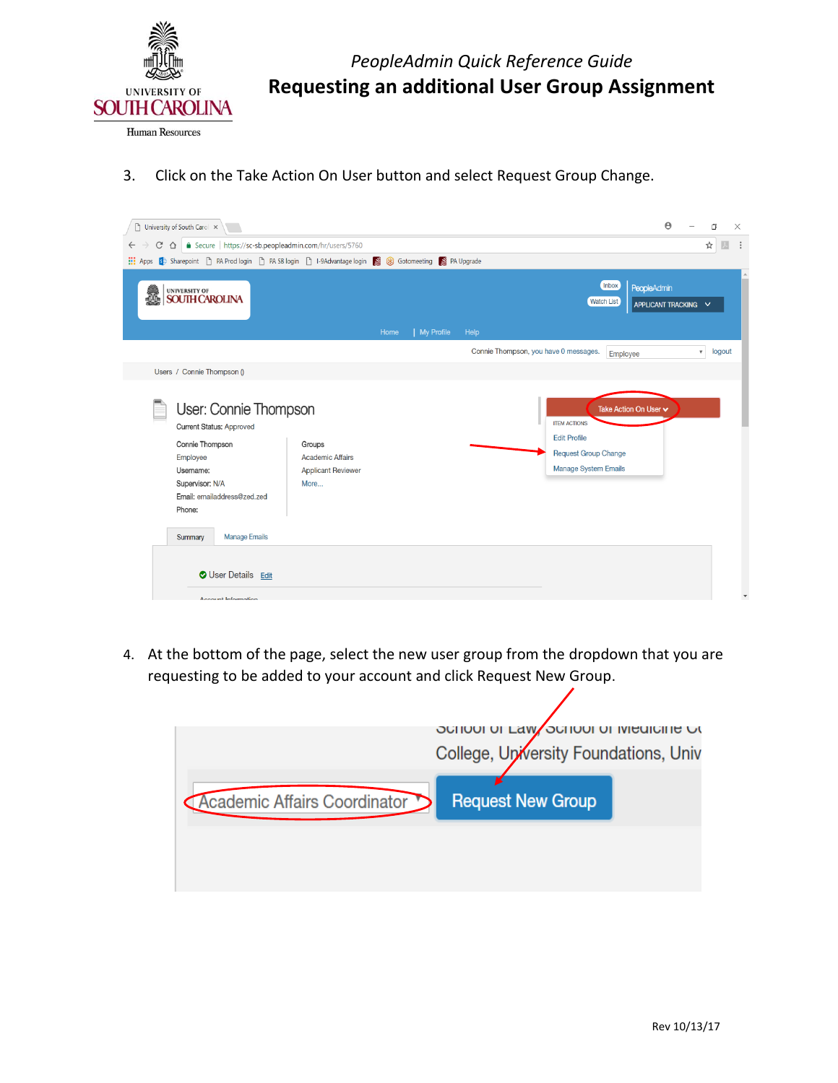

*PeopleAdmin Quick Reference Guide*  **Requesting an additional User Group Assignment** 

3. Click on the Take Action On User button and select Request Group Change.

| University of South Carol X                                                                                                                                                                         |                                                                        |      |            |      |                                                                                                          |                            | $\boldsymbol{\Theta}$                      | O                   | X                      |
|-----------------------------------------------------------------------------------------------------------------------------------------------------------------------------------------------------|------------------------------------------------------------------------|------|------------|------|----------------------------------------------------------------------------------------------------------|----------------------------|--------------------------------------------|---------------------|------------------------|
| △ ● Secure   https://sc-sb.peopleadmin.com/hr/users/5760<br>$\leftarrow$ $\rightarrow$<br>C                                                                                                         |                                                                        |      |            |      |                                                                                                          |                            |                                            | ☆                   |                        |
| Apps Ste Sharepoint he PA Prod login he PA SB login he 9Advantage login Ste Gotomeeting Ste PA Upgrade                                                                                              |                                                                        |      |            |      |                                                                                                          |                            |                                            |                     |                        |
| UNIVERSITY OF<br>SOUTH CAROLINA<br>i.                                                                                                                                                               |                                                                        | Home | My Profile | Help |                                                                                                          | Inbox<br><b>Watch List</b> | <b>PeopleAdmin</b><br>APPLICANT TRACKING V |                     |                        |
|                                                                                                                                                                                                     |                                                                        |      |            |      | Connie Thompson, you have 0 messages.                                                                    |                            |                                            | $\mathbf{v}$ logout |                        |
| Users / Connie Thompson ()                                                                                                                                                                          |                                                                        |      |            |      |                                                                                                          | Employee                   |                                            |                     |                        |
| User: Connie Thompson<br><b>Current Status: Approved</b><br>Connie Thompson<br>Employee<br>Username:<br>Supervisor: N/A<br>Email: emailaddress@zed.zed<br>Phone:<br><b>Manage Emails</b><br>Summary | Groups<br><b>Academic Affairs</b><br><b>Applicant Reviewer</b><br>More |      |            |      | <b>ITEM ACTIONS</b><br><b>Edit Profile</b><br><b>Request Group Change</b><br><b>Manage System Emails</b> | Take Action On User v      |                                            |                     |                        |
| <b>O</b> User Details Edit<br>Account Information                                                                                                                                                   |                                                                        |      |            |      |                                                                                                          |                            |                                            |                     | $\overline{\mathbf v}$ |

 4. At the bottom of the page, select the new user group from the dropdown that you are requesting to be added to your account and click Request New Group.